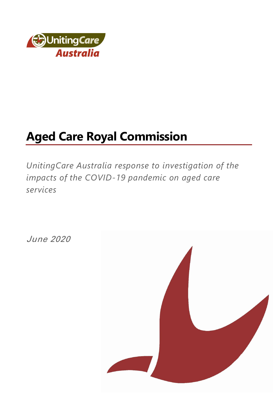

# **Aged Care Royal Commission**

*UnitingCare Australia response to investigation of the impacts of the COVID-19 pandemic on aged care services*

June 2020

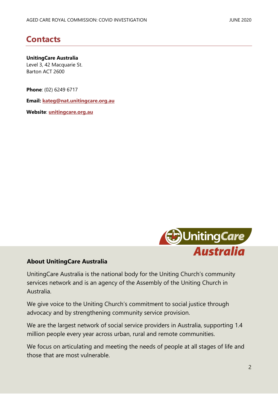### <span id="page-1-0"></span>**Contacts**

#### **UnitingCare Australia**

Level 3, 42 Macquarie St. Barton ACT 2600

**Phone**: (02) 6249 6717

**Email: [kateg@nat.unitingcare.org.au](mailto:kateg@nat.unitingcare.org.au)**

**Website**: **[unitingcare.org.au](http://www.unitingcare.org.au/)**



#### **About UnitingCare Australia**

UnitingCare Australia is the national body for the Uniting Church's community services network and is an agency of the Assembly of the Uniting Church in Australia.

We give voice to the Uniting Church's commitment to social justice through advocacy and by strengthening community service provision.

We are the largest network of social service providers in Australia, supporting 1.4 million people every year across urban, rural and remote communities.

We focus on articulating and meeting the needs of people at all stages of life and those that are most vulnerable.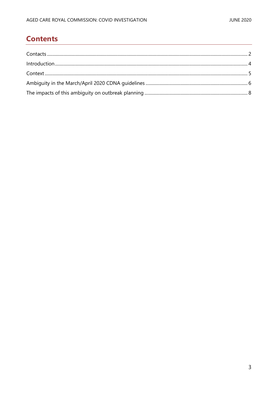### **Contents**

| Introduction 4 |  |
|----------------|--|
|                |  |
|                |  |
|                |  |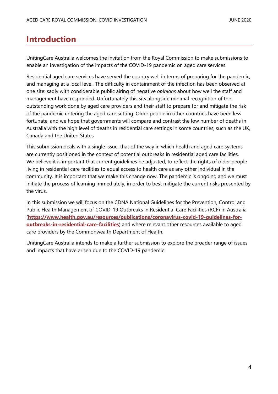### <span id="page-3-0"></span>**Introduction**

UnitingCare Australia welcomes the invitation from the Royal Commission to make submissions to enable an investigation of the impacts of the COVID-19 pandemic on aged care services.

Residential aged care services have served the country well in terms of preparing for the pandemic, and managing at a local level. The difficulty in containment of the infection has been observed at one site: sadly with considerable public airing of negative *opinions* about how well the staff and management have responded. Unfortunately this sits alongside minimal recognition of the outstanding work done by aged care providers and their staff to prepare for and mitigate the risk of the pandemic entering the aged care setting. Older people in other countries have been less fortunate, and we hope that governments will compare and contrast the low number of deaths in Australia with the high level of deaths in residential care settings in some countries, such as the UK, Canada and the United States

This submission deals with a single issue, that of the way in which health and aged care systems are currently positioned in the context of potential outbreaks in residential aged care facilities. We believe it is important that current guidelines be adjusted, to reflect the rights of older people living in residential care facilities to equal access to health care as any other individual in the community. It is important that we make this change now. The pandemic is ongoing and we must initiate the process of learning immediately, in order to best mitigate the current risks presented by the virus.

In this submission we will focus on the CDNA National Guidelines for the Prevention, Control and Public Health Management of COVID-19 Outbreaks in Residential Care Facilities (RCF) in Australia (**[https://www.health.gov.au/resources/publications/coronavirus-covid-19-guidelines-for](https://www.health.gov.au/resources/publications/coronavirus-covid-19-guidelines-for-outbreaks-in-residential-care-facilities)[outbreaks-in-residential-care-facilities](https://www.health.gov.au/resources/publications/coronavirus-covid-19-guidelines-for-outbreaks-in-residential-care-facilities)**) and where relevant other resources available to aged care providers by the Commonwealth Department of Health.

UnitingCare Australia intends to make a further submission to explore the broader range of issues and impacts that have arisen due to the COVID-19 pandemic.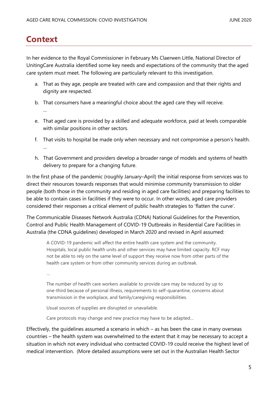### <span id="page-4-0"></span>**Context**

In her evidence to the Royal Commissioner in February Ms Claerwen Little, National Director of UnitingCare Australia identified some key needs and expectations of the community that the aged care system must meet. The following are particularly relevant to this investigation.

- a. That as they age, people are treated with care and compassion and that their rights and dignity are respected.
- b. That consumers have a meaningful choice about the aged care they will receive. …
- e. That aged care is provided by a skilled and adequate workforce, paid at levels comparable with similar positions in other sectors.
- f. That visits to hospital be made only when necessary and not compromise a person's health. …
- h. That Government and providers develop a broader range of models and systems of health delivery to prepare for a changing future.

In the first phase of the pandemic (roughly January–April) the initial response from services was to direct their resources towards responses that would minimise community transmission to older people (both those in the community and residing in aged care facilities) and preparing facilities to be able to contain cases in facilities if they were to occur. In other words, aged care providers considered their responses a critical element of public health strategies to 'flatten the curve'.

The Communicable Diseases Network Australia (CDNA) National Guidelines for the Prevention, Control and Public Health Management of COVID-19 Outbreaks in Residential Care Facilities in Australia (the CDNA guidelines) developed in March 2020 and revised in April assumed:

A COVID-19 pandemic will affect the entire health care system and the community. Hospitals, local public health units and other services may have limited capacity. RCF may not be able to rely on the same level of support they receive now from other parts of the health care system or from other community services during an outbreak.

…

The number of health care workers available to provide care may be reduced by up to one-third because of personal illness, requirements to self-quarantine, concerns about transmission in the workplace, and family/caregiving responsibilities.

Usual sources of supplies are disrupted or unavailable.

Care protocols may change and new practice may have to be adapted…

Effectively, the guidelines assumed a scenario in which – as has been the case in many overseas countries – the health system was overwhelmed to the extent that it may be necessary to accept a situation in which not every individual who contracted COVID-19 could receive the highest level of medical intervention. (More detailed assumptions were set out in the Australian Health Sector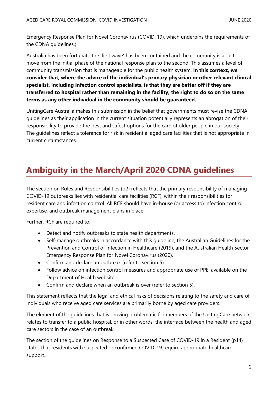Emergency Response Plan for Novel Coronavirus (COVID-19), which underpins the requirements of the CDNA guidelines.)

Australia has been fortunate the 'first wave' has been contained and the community is able to move from the initial phase of the national response plan to the second. This assumes a level of community transmission that is manageable for the public health system. **In this context, we consider that, where the advice of the individual's primary physician or other relevant clinical specialist, including infection control specialists, is that they are better off if they are transferred to hospital rather than remaining in the facility, the right to do so on the same terms as any other individual in the community should be guaranteed.**

UnitingCare Australia makes this submission in the belief that governments must revise the CDNA guidelines as their application in the current situation potentially represents an abrogation of their responsibility to provide the best and safest options for the care of older people in our society. The guidelines reflect a tolerance for risk in residential aged care facilities that is not appropriate in current circumstances.

# <span id="page-5-0"></span>**Ambiguity in the March/April 2020 CDNA guidelines**

The section on Roles and Responsibilities (p2) reflects that the primary responsibility of managing COVID-19 outbreaks lies with residential care facilities (RCF), within their responsibilities for resident care and infection control. All RCF should have in-house (or access to) infection control expertise, and outbreak management plans in place.

Further, RCF are required to:

- Detect and notify outbreaks to state health departments.
- Self-manage outbreaks in accordance with this guideline, the [Australian Guidelines for the](https://www.nhmrc.gov.au/about-us/publications/australian-guidelines-prevention-and-control-infection-healthcare-2019)  [Prevention and Control of Infection in Healthcare \(2019\),](https://www.nhmrc.gov.au/about-us/publications/australian-guidelines-prevention-and-control-infection-healthcare-2019) and the [Australian Health Sector](https://www.health.gov.au/resources/publications/australian-health-sector-emergency-response-plan-for-novel-coronavirus-covid-19)  [Emergency Response Plan for Novel Coronavirus \(2020\).](https://www.health.gov.au/resources/publications/australian-health-sector-emergency-response-plan-for-novel-coronavirus-covid-19)
- Confirm and declare an outbreak (refer to section 5).
- Follow advice on infection control measures and appropriate use of PPE, available on the [Department of Health website.](https://www.health.gov.au/resources/publications/coronavirus-covid-19-guidelines-for-infection-prevention-and-control-in-residential-care-facilities)
- Confirm and declare when an outbreak is over (refer to section 5).

This statement reflects that the legal and ethical risks of decisions relating to the safety and care of individuals who receive aged care services are primarily borne by aged care providers.

The element of the guidelines that is proving problematic for members of the UnitingCare network relates to transfer to a public hospital, or in other words, the interface between the health and aged care sectors in the case of an outbreak.

The section of the guidelines on Response to a Suspected Case of COVID-19 in a Resident (p14) states that residents with suspected or confirmed COVID-19 require appropriate healthcare support...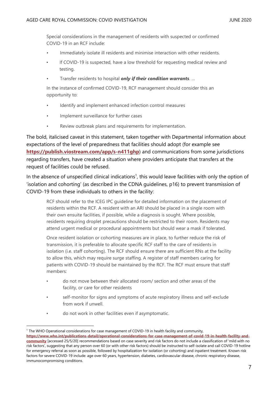Special considerations in the management of residents with suspected or confirmed COVID-19 in an RCF include:

- Immediately isolate ill residents and minimise interaction with other residents.
- If COVID-19 is suspected, have a low threshold for requesting medical review and testing.
- Transfer residents to hospital *only if their condition warrants*. …

In the instance of confirmed COVID-19, RCF management should consider this an opportunity to:

- Identify and implement enhanced infection control measures
- Implement surveillance for further cases
- Review outbreak plans and requirements for implementation.

The bold, italicised caveat in this statement, taken together with Departmental information about expectations of the level of preparedness that facilities should adopt (for example see **<https://publish.viostream.com/app/s-n411ghp>**) and communications from some jurisdictions regarding transfers, have created a situation where providers anticipate that transfers at the request of facilities could be refused.

In the absence of unspecified clinical indications<sup>1</sup>, this would leave facilities with only the option of 'isolation and cohorting' (as described in the CDNA guidelines, p16) to prevent transmission of COVID-19 from these individuals to others in the facility:

RCF should refer to the ICEG IPC guideline for detailed information on the placement of residents within the RCF. A resident with an ARI should be placed in a single room with their own ensuite facilities, if possible, while a diagnosis is sought. Where possible, residents requiring droplet precautions should be restricted to their room. Residents may attend urgent medical or procedural appointments but should wear a mask if tolerated.

Once resident isolation or cohorting measures are in place, to further reduce the risk of transmission, it is preferable to allocate specific RCF staff to the care of residents in isolation (i.e. staff cohorting). The RCF should ensure there are sufficient RNs at the facility to allow this, which may require surge staffing. A register of staff members caring for patients with COVID-19 should be maintained by the RCF. The RCF must ensure that staff members:

- do not move between their allocated room/ section and other areas of the facility, or care for other residents
- self-monitor for signs and symptoms of acute respiratory illness and self-exclude from work if unwell.
- do not work in other facilities even if asymptomatic.

<sup>1</sup> The WHO Operational considerations for case management of COVID-19 in health facility and community, **[https://www.who.int/publications-detail/operational-considerations-for-case-management-of-covid-19-in-health-facility-and](https://www.who.int/publications-detail/operational-considerations-for-case-management-of-covid-19-in-health-facility-and-community)[community](https://www.who.int/publications-detail/operational-considerations-for-case-management-of-covid-19-in-health-facility-and-community)** [accessed 25/5/20] recommendations based on case severity and risk factors do not include a classification of 'mild with no risk factors', suggesting that any person over 60 (or with other risk factors) should be instructed to self-isolate and call COVID-19 hotline for emergency referral as soon as possible, followed by hospitalization for isolation (or cohorting) and inpatient treatment. Known risk factors for severe COVID-19 include: age over 60 years, hypertension, diabetes, cardiovascular disease, chronic respiratory disease, immunocompromising conditions.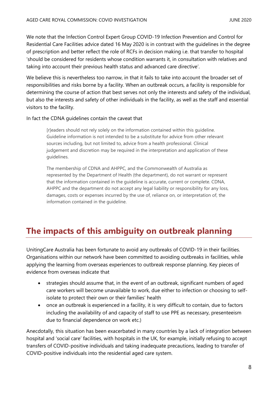We note that the Infection Control Expert Group COVID-19 Infection Prevention and Control for Residential Care Facilities advice dated 16 May 2020 is in contrast with the guidelines in the degree of prescription and better reflect the role of RCFs in decision making i.e. that transfer to hospital 'should be considered for residents whose condition warrants it, in consultation with relatives and taking into account their previous health status and advanced care directive'.

We believe this is nevertheless too narrow, in that it fails to take into account the broader set of responsibilities and risks borne by a facility. When an outbreak occurs, a facility is responsible for determining the course of action that best serves not only the interests and safety of the individual, but also the interests and safety of other individuals in the facility, as well as the staff and essential visitors to the facility.

#### In fact the CDNA guidelines contain the caveat that

[r]eaders should not rely solely on the information contained within this guideline. Guideline information is not intended to be a substitute for advice from other relevant sources including, but not limited to, advice from a health professional. Clinical judgement and discretion may be required in the interpretation and application of these guidelines.

The membership of CDNA and AHPPC, and the Commonwealth of Australia as represented by the Department of Health (the department), do not warrant or represent that the information contained in the guideline is accurate, current or complete. CDNA, AHPPC and the department do not accept any legal liability or responsibility for any loss, damages, costs or expenses incurred by the use of, reliance on, or interpretation of, the information contained in the guideline.

## <span id="page-7-0"></span>**The impacts of this ambiguity on outbreak planning**

UnitingCare Australia has been fortunate to avoid any outbreaks of COVID-19 in their facilities. Organisations within our network have been committed to avoiding outbreaks in facilities, while applying the learning from overseas experiences to outbreak response planning. Key pieces of evidence from overseas indicate that

- strategies should assume that, in the event of an outbreak, significant numbers of aged care workers will become unavailable to work, due either to infection or choosing to selfisolate to protect their own or their families' health
- once an outbreak is experienced in a facility, it is very difficult to contain, due to factors including the availability of and capacity of staff to use PPE as necessary, presenteeism due to financial dependence on work etc.)

Anecdotally, this situation has been exacerbated in many countries by a lack of integration between hospital and 'social care' facilities, with hospitals in the UK, for example, initially refusing to accept transfers of COVID-positive individuals and taking inadequate precautions, leading to transfer of COVID-positive individuals into the residential aged care system.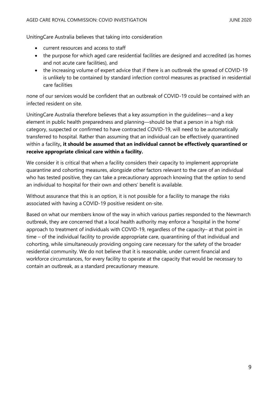UnitingCare Australia believes that taking into consideration

- current resources and access to staff
- the purpose for which aged care residential facilities are designed and accredited (as homes and not acute care facilities), and
- the increasing volume of expert advice that if there is an outbreak the spread of COVID-19 is unlikely to be contained by standard infection control measures as practised in residential care facilities

none of our services would be confident that an outbreak of COVID-19 could be contained with an infected resident on site.

UnitingCare Australia therefore believes that a key assumption in the guidelines—and a key element in public health preparedness and planning—should be that a person in a high risk category, suspected or confirmed to have contracted COVID-19, will need to be automatically transferred to hospital. Rather than assuming that an individual can be effectively quarantined within a facility**, it should be assumed that an individual cannot be effectively quarantined or receive appropriate clinical care within a facility.**

We consider it is critical that when a facility considers their capacity to implement appropriate quarantine and cohorting measures, alongside other factors relevant to the care of an individual who has tested positive, they can take a precautionary approach knowing that the *option* to send an individual to hospital for their own and others' benefit is available.

Without assurance that this is an option, it is not possible for a facility to manage the risks associated with having a COVID-19 positive resident on-site.

Based on what our members know of the way in which various parties responded to the Newmarch outbreak, they are concerned that a local health authority may enforce a 'hospital in the home' approach to treatment of individuals with COVID-19, regardless of the capacity– at that point in time – of the individual facility to provide appropriate care, quarantining of that individual and cohorting, while simultaneously providing ongoing care necessary for the safety of the broader residential community. We do not believe that it is reasonable, under current financial and workforce circumstances, for every facility to operate at the capacity that would be necessary to contain an outbreak, as a standard precautionary measure.